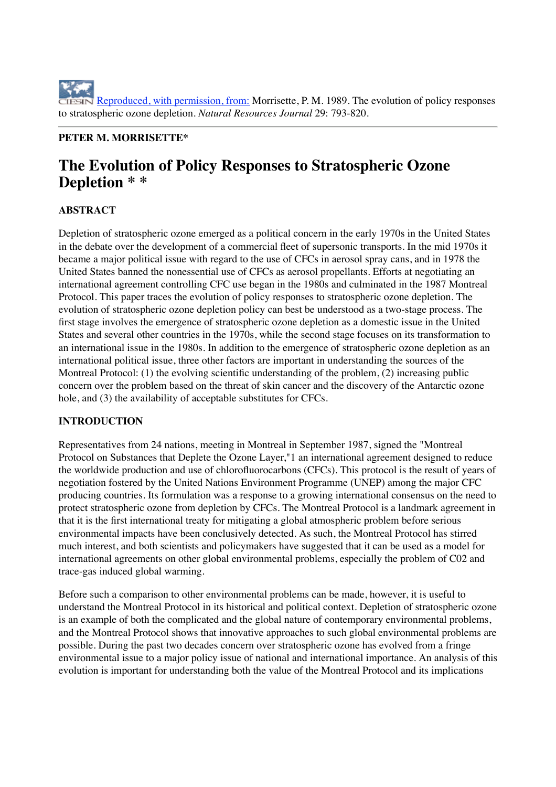Reproduced, with permission, from: Morrisette, P. M. 1989. The evolution of policy responses to stratospheric ozone depletion. *Natural Resources Journal* 29: 793-820.

## **PETER M. MORRISETTE\***

# **The Evolution of Policy Responses to Stratospheric Ozone Depletion \* \***

# **ABSTRACT**

Depletion of stratospheric ozone emerged as a political concern in the early 1970s in the United States in the debate over the development of a commercial fleet of supersonic transports. In the mid 1970s it became a major political issue with regard to the use of CFCs in aerosol spray cans, and in 1978 the United States banned the nonessential use of CFCs as aerosol propellants. Efforts at negotiating an international agreement controlling CFC use began in the 1980s and culminated in the 1987 Montreal Protocol. This paper traces the evolution of policy responses to stratospheric ozone depletion. The evolution of stratospheric ozone depletion policy can best be understood as a two-stage process. The first stage involves the emergence of stratospheric ozone depletion as a domestic issue in the United States and several other countries in the 1970s, while the second stage focuses on its transformation to an international issue in the 1980s. In addition to the emergence of stratospheric ozone depletion as an international political issue, three other factors are important in understanding the sources of the Montreal Protocol: (1) the evolving scientific understanding of the problem, (2) increasing public concern over the problem based on the threat of skin cancer and the discovery of the Antarctic ozone hole, and (3) the availability of acceptable substitutes for CFCs.

## **INTRODUCTION**

Representatives from 24 nations, meeting in Montreal in September 1987, signed the "Montreal Protocol on Substances that Deplete the Ozone Layer,"1 an international agreement designed to reduce the worldwide production and use of chlorofluorocarbons (CFCs). This protocol is the result of years of negotiation fostered by the United Nations Environment Programme (UNEP) among the major CFC producing countries. Its formulation was a response to a growing international consensus on the need to protect stratospheric ozone from depletion by CFCs. The Montreal Protocol is a landmark agreement in that it is the first international treaty for mitigating a global atmospheric problem before serious environmental impacts have been conclusively detected. As such, the Montreal Protocol has stirred much interest, and both scientists and policymakers have suggested that it can be used as a model for international agreements on other global environmental problems, especially the problem of C02 and trace-gas induced global warming.

Before such a comparison to other environmental problems can be made, however, it is useful to understand the Montreal Protocol in its historical and political context. Depletion of stratospheric ozone is an example of both the complicated and the global nature of contemporary environmental problems, and the Montreal Protocol shows that innovative approaches to such global environmental problems are possible. During the past two decades concern over stratospheric ozone has evolved from a fringe environmental issue to a major policy issue of national and international importance. An analysis of this evolution is important for understanding both the value of the Montreal Protocol and its implications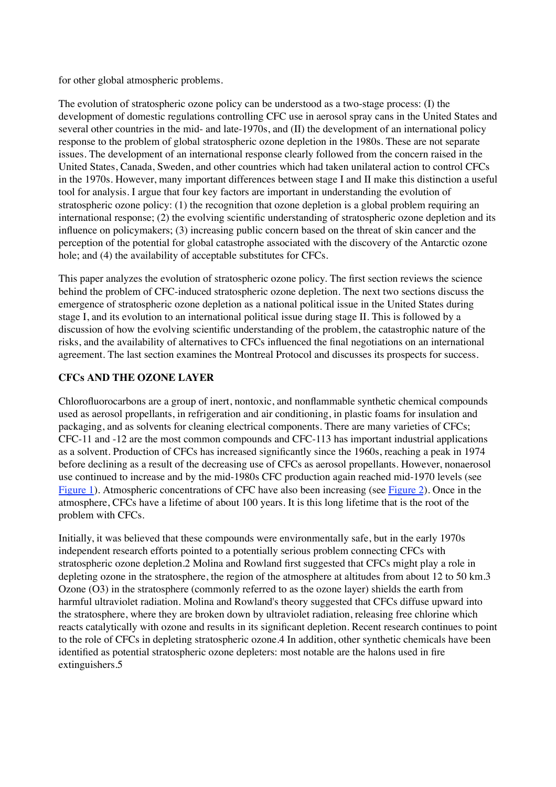for other global atmospheric problems.

The evolution of stratospheric ozone policy can be understood as a two-stage process: (I) the development of domestic regulations controlling CFC use in aerosol spray cans in the United States and several other countries in the mid- and late-1970s, and (II) the development of an international policy response to the problem of global stratospheric ozone depletion in the 1980s. These are not separate issues. The development of an international response clearly followed from the concern raised in the United States, Canada, Sweden, and other countries which had taken unilateral action to control CFCs in the 1970s. However, many important differences between stage I and II make this distinction a useful tool for analysis. I argue that four key factors are important in understanding the evolution of stratospheric ozone policy: (1) the recognition that ozone depletion is a global problem requiring an international response; (2) the evolving scientific understanding of stratospheric ozone depletion and its influence on policymakers; (3) increasing public concern based on the threat of skin cancer and the perception of the potential for global catastrophe associated with the discovery of the Antarctic ozone hole; and (4) the availability of acceptable substitutes for CFCs.

This paper analyzes the evolution of stratospheric ozone policy. The first section reviews the science behind the problem of CFC-induced stratospheric ozone depletion. The next two sections discuss the emergence of stratospheric ozone depletion as a national political issue in the United States during stage I, and its evolution to an international political issue during stage II. This is followed by a discussion of how the evolving scientific understanding of the problem, the catastrophic nature of the risks, and the availability of alternatives to CFCs influenced the final negotiations on an international agreement. The last section examines the Montreal Protocol and discusses its prospects for success.

## **CFCs AND THE OZONE LAYER**

Chlorofluorocarbons are a group of inert, nontoxic, and nonflammable synthetic chemical compounds used as aerosol propellants, in refrigeration and air conditioning, in plastic foams for insulation and packaging, and as solvents for cleaning electrical components. There are many varieties of CFCs; CFC-11 and -12 are the most common compounds and CFC-113 has important industrial applications as a solvent. Production of CFCs has increased significantly since the 1960s, reaching a peak in 1974 before declining as a result of the decreasing use of CFCs as aerosol propellants. However, nonaerosol use continued to increase and by the mid-1980s CFC production again reached mid-1970 levels (see Figure 1). Atmospheric concentrations of CFC have also been increasing (see Figure 2). Once in the atmosphere, CFCs have a lifetime of about 100 years. It is this long lifetime that is the root of the problem with CFCs.

Initially, it was believed that these compounds were environmentally safe, but in the early 1970s independent research efforts pointed to a potentially serious problem connecting CFCs with stratospheric ozone depletion.2 Molina and Rowland first suggested that CFCs might play a role in depleting ozone in the stratosphere, the region of the atmosphere at altitudes from about 12 to 50 km.3 Ozone (O3) in the stratosphere (commonly referred to as the ozone layer) shields the earth from harmful ultraviolet radiation. Molina and Rowland's theory suggested that CFCs diffuse upward into the stratosphere, where they are broken down by ultraviolet radiation, releasing free chlorine which reacts catalytically with ozone and results in its significant depletion. Recent research continues to point to the role of CFCs in depleting stratospheric ozone.4 In addition, other synthetic chemicals have been identified as potential stratospheric ozone depleters: most notable are the halons used in fire extinguishers.5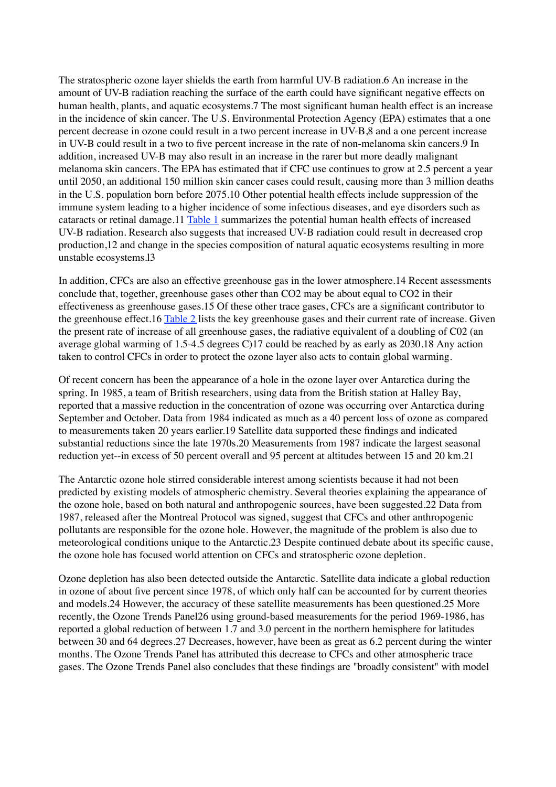The stratospheric ozone layer shields the earth from harmful UV-B radiation.6 An increase in the amount of UV-B radiation reaching the surface of the earth could have significant negative effects on human health, plants, and aquatic ecosystems.7 The most significant human health effect is an increase in the incidence of skin cancer. The U.S. Environmental Protection Agency (EPA) estimates that a one percent decrease in ozone could result in a two percent increase in UV-B,8 and a one percent increase in UV-B could result in a two to five percent increase in the rate of non-melanoma skin cancers.9 In addition, increased UV-B may also result in an increase in the rarer but more deadly malignant melanoma skin cancers. The EPA has estimated that if CFC use continues to grow at 2.5 percent a year until 2050, an additional 150 million skin cancer cases could result, causing more than 3 million deaths in the U.S. population born before 2075.10 Other potential health effects include suppression of the immune system leading to a higher incidence of some infectious diseases, and eye disorders such as cataracts or retinal damage.11 Table 1 summarizes the potential human health effects of increased UV-B radiation. Research also suggests that increased UV-B radiation could result in decreased crop production,12 and change in the species composition of natural aquatic ecosystems resulting in more unstable ecosystems.l3

In addition, CFCs are also an effective greenhouse gas in the lower atmosphere.14 Recent assessments conclude that, together, greenhouse gases other than CO2 may be about equal to CO2 in their effectiveness as greenhouse gases.15 Of these other trace gases, CFCs are a significant contributor to the greenhouse effect.16 Table 2 lists the key greenhouse gases and their current rate of increase. Given the present rate of increase of all greenhouse gases, the radiative equivalent of a doubling of C02 (an average global warming of 1.5-4.5 degrees C)17 could be reached by as early as 2030.18 Any action taken to control CFCs in order to protect the ozone layer also acts to contain global warming.

Of recent concern has been the appearance of a hole in the ozone layer over Antarctica during the spring. In 1985, a team of British researchers, using data from the British station at Halley Bay, reported that a massive reduction in the concentration of ozone was occurring over Antarctica during September and October. Data from 1984 indicated as much as a 40 percent loss of ozone as compared to measurements taken 20 years earlier.19 Satellite data supported these findings and indicated substantial reductions since the late 1970s.20 Measurements from 1987 indicate the largest seasonal reduction yet--in excess of 50 percent overall and 95 percent at altitudes between 15 and 20 km.21

The Antarctic ozone hole stirred considerable interest among scientists because it had not been predicted by existing models of atmospheric chemistry. Several theories explaining the appearance of the ozone hole, based on both natural and anthropogenic sources, have been suggested.22 Data from 1987, released after the Montreal Protocol was signed, suggest that CFCs and other anthropogenic pollutants are responsible for the ozone hole. However, the magnitude of the problem is also due to meteorological conditions unique to the Antarctic.23 Despite continued debate about its specific cause, the ozone hole has focused world attention on CFCs and stratospheric ozone depletion.

Ozone depletion has also been detected outside the Antarctic. Satellite data indicate a global reduction in ozone of about five percent since 1978, of which only half can be accounted for by current theories and models.24 However, the accuracy of these satellite measurements has been questioned.25 More recently, the Ozone Trends Panel26 using ground-based measurements for the period 1969-1986, has reported a global reduction of between 1.7 and 3.0 percent in the northern hemisphere for latitudes between 30 and 64 degrees.27 Decreases, however, have been as great as 6.2 percent during the winter months. The Ozone Trends Panel has attributed this decrease to CFCs and other atmospheric trace gases. The Ozone Trends Panel also concludes that these findings are "broadly consistent" with model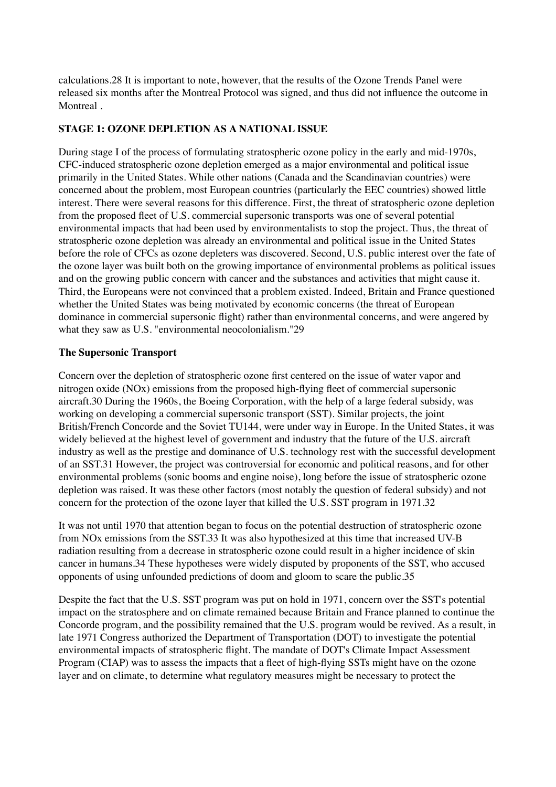calculations.28 It is important to note, however, that the results of the Ozone Trends Panel were released six months after the Montreal Protocol was signed, and thus did not influence the outcome in Montreal .

#### **STAGE 1: OZONE DEPLETION AS A NATIONAL ISSUE**

During stage I of the process of formulating stratospheric ozone policy in the early and mid-1970s, CFC-induced stratospheric ozone depletion emerged as a major environmental and political issue primarily in the United States. While other nations (Canada and the Scandinavian countries) were concerned about the problem, most European countries (particularly the EEC countries) showed little interest. There were several reasons for this difference. First, the threat of stratospheric ozone depletion from the proposed fleet of U.S. commercial supersonic transports was one of several potential environmental impacts that had been used by environmentalists to stop the project. Thus, the threat of stratospheric ozone depletion was already an environmental and political issue in the United States before the role of CFCs as ozone depleters was discovered. Second, U.S. public interest over the fate of the ozone layer was built both on the growing importance of environmental problems as political issues and on the growing public concern with cancer and the substances and activities that might cause it. Third, the Europeans were not convinced that a problem existed. Indeed, Britain and France questioned whether the United States was being motivated by economic concerns (the threat of European dominance in commercial supersonic flight) rather than environmental concerns, and were angered by what they saw as U.S. "environmental neocolonialism."29

#### **The Supersonic Transport**

Concern over the depletion of stratospheric ozone first centered on the issue of water vapor and nitrogen oxide (NOx) emissions from the proposed high-flying fleet of commercial supersonic aircraft.30 During the 1960s, the Boeing Corporation, with the help of a large federal subsidy, was working on developing a commercial supersonic transport (SST). Similar projects, the joint British/French Concorde and the Soviet TU144, were under way in Europe. In the United States, it was widely believed at the highest level of government and industry that the future of the U.S. aircraft industry as well as the prestige and dominance of U.S. technology rest with the successful development of an SST.31 However, the project was controversial for economic and political reasons, and for other environmental problems (sonic booms and engine noise), long before the issue of stratospheric ozone depletion was raised. It was these other factors (most notably the question of federal subsidy) and not concern for the protection of the ozone layer that killed the U.S. SST program in 1971.32

It was not until 1970 that attention began to focus on the potential destruction of stratospheric ozone from NOx emissions from the SST.33 It was also hypothesized at this time that increased UV-B radiation resulting from a decrease in stratospheric ozone could result in a higher incidence of skin cancer in humans.34 These hypotheses were widely disputed by proponents of the SST, who accused opponents of using unfounded predictions of doom and gloom to scare the public.35

Despite the fact that the U.S. SST program was put on hold in 1971, concern over the SST's potential impact on the stratosphere and on climate remained because Britain and France planned to continue the Concorde program, and the possibility remained that the U.S. program would be revived. As a result, in late 1971 Congress authorized the Department of Transportation (DOT) to investigate the potential environmental impacts of stratospheric flight. The mandate of DOT's Climate Impact Assessment Program (CIAP) was to assess the impacts that a fleet of high-flying SSTs might have on the ozone layer and on climate, to determine what regulatory measures might be necessary to protect the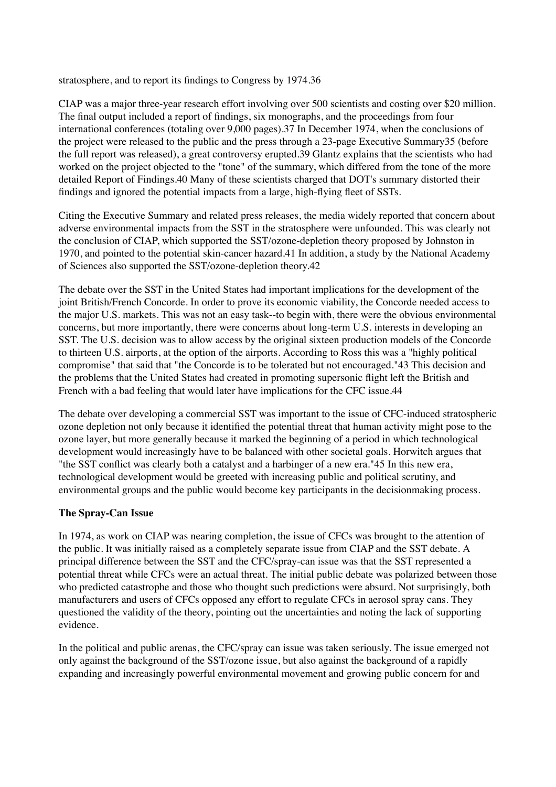stratosphere, and to report its findings to Congress by 1974.36

CIAP was a major three-year research effort involving over 500 scientists and costing over \$20 million. The final output included a report of findings, six monographs, and the proceedings from four international conferences (totaling over 9,000 pages).37 In December 1974, when the conclusions of the project were released to the public and the press through a 23-page Executive Summary35 (before the full report was released), a great controversy erupted.39 Glantz explains that the scientists who had worked on the project objected to the "tone" of the summary, which differed from the tone of the more detailed Report of Findings.40 Many of these scientists charged that DOT's summary distorted their findings and ignored the potential impacts from a large, high-flying fleet of SSTs.

Citing the Executive Summary and related press releases, the media widely reported that concern about adverse environmental impacts from the SST in the stratosphere were unfounded. This was clearly not the conclusion of CIAP, which supported the SST/ozone-depletion theory proposed by Johnston in 1970, and pointed to the potential skin-cancer hazard.41 In addition, a study by the National Academy of Sciences also supported the SST/ozone-depletion theory.42

The debate over the SST in the United States had important implications for the development of the joint British/French Concorde. In order to prove its economic viability, the Concorde needed access to the major U.S. markets. This was not an easy task--to begin with, there were the obvious environmental concerns, but more importantly, there were concerns about long-term U.S. interests in developing an SST. The U.S. decision was to allow access by the original sixteen production models of the Concorde to thirteen U.S. airports, at the option of the airports. According to Ross this was a "highly political compromise" that said that "the Concorde is to be tolerated but not encouraged."43 This decision and the problems that the United States had created in promoting supersonic flight left the British and French with a bad feeling that would later have implications for the CFC issue.44

The debate over developing a commercial SST was important to the issue of CFC-induced stratospheric ozone depletion not only because it identified the potential threat that human activity might pose to the ozone layer, but more generally because it marked the beginning of a period in which technological development would increasingly have to be balanced with other societal goals. Horwitch argues that "the SST conflict was clearly both a catalyst and a harbinger of a new era."45 In this new era, technological development would be greeted with increasing public and political scrutiny, and environmental groups and the public would become key participants in the decisionmaking process.

## **The Spray-Can Issue**

In 1974, as work on CIAP was nearing completion, the issue of CFCs was brought to the attention of the public. It was initially raised as a completely separate issue from CIAP and the SST debate. A principal difference between the SST and the CFC/spray-can issue was that the SST represented a potential threat while CFCs were an actual threat. The initial public debate was polarized between those who predicted catastrophe and those who thought such predictions were absurd. Not surprisingly, both manufacturers and users of CFCs opposed any effort to regulate CFCs in aerosol spray cans. They questioned the validity of the theory, pointing out the uncertainties and noting the lack of supporting evidence.

In the political and public arenas, the CFC/spray can issue was taken seriously. The issue emerged not only against the background of the SST/ozone issue, but also against the background of a rapidly expanding and increasingly powerful environmental movement and growing public concern for and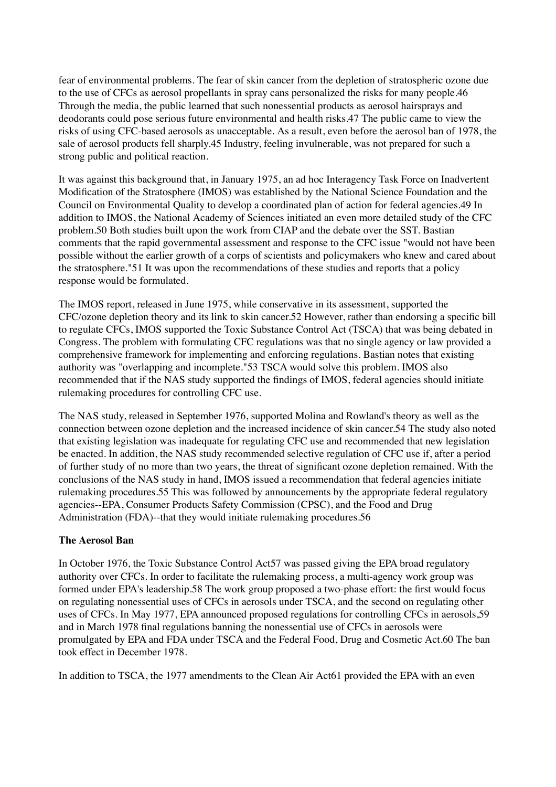fear of environmental problems. The fear of skin cancer from the depletion of stratospheric ozone due to the use of CFCs as aerosol propellants in spray cans personalized the risks for many people.46 Through the media, the public learned that such nonessential products as aerosol hairsprays and deodorants could pose serious future environmental and health risks.47 The public came to view the risks of using CFC-based aerosols as unacceptable. As a result, even before the aerosol ban of 1978, the sale of aerosol products fell sharply.45 Industry, feeling invulnerable, was not prepared for such a strong public and political reaction.

It was against this background that, in January 1975, an ad hoc Interagency Task Force on Inadvertent Modification of the Stratosphere (IMOS) was established by the National Science Foundation and the Council on Environmental Quality to develop a coordinated plan of action for federal agencies.49 In addition to IMOS, the National Academy of Sciences initiated an even more detailed study of the CFC problem.50 Both studies built upon the work from CIAP and the debate over the SST. Bastian comments that the rapid governmental assessment and response to the CFC issue "would not have been possible without the earlier growth of a corps of scientists and policymakers who knew and cared about the stratosphere."51 It was upon the recommendations of these studies and reports that a policy response would be formulated.

The IMOS report, released in June 1975, while conservative in its assessment, supported the CFC/ozone depletion theory and its link to skin cancer.52 However, rather than endorsing a specific bill to regulate CFCs, IMOS supported the Toxic Substance Control Act (TSCA) that was being debated in Congress. The problem with formulating CFC regulations was that no single agency or law provided a comprehensive framework for implementing and enforcing regulations. Bastian notes that existing authority was "overlapping and incomplete."53 TSCA would solve this problem. IMOS also recommended that if the NAS study supported the findings of IMOS, federal agencies should initiate rulemaking procedures for controlling CFC use.

The NAS study, released in September 1976, supported Molina and Rowland's theory as well as the connection between ozone depletion and the increased incidence of skin cancer.54 The study also noted that existing legislation was inadequate for regulating CFC use and recommended that new legislation be enacted. In addition, the NAS study recommended selective regulation of CFC use if, after a period of further study of no more than two years, the threat of significant ozone depletion remained. With the conclusions of the NAS study in hand, IMOS issued a recommendation that federal agencies initiate rulemaking procedures.55 This was followed by announcements by the appropriate federal regulatory agencies--EPA, Consumer Products Safety Commission (CPSC), and the Food and Drug Administration (FDA)--that they would initiate rulemaking procedures.56

#### **The Aerosol Ban**

In October 1976, the Toxic Substance Control Act57 was passed giving the EPA broad regulatory authority over CFCs. In order to facilitate the rulemaking process, a multi-agency work group was formed under EPA's leadership.58 The work group proposed a two-phase effort: the first would focus on regulating nonessential uses of CFCs in aerosols under TSCA, and the second on regulating other uses of CFCs. In May 1977, EPA announced proposed regulations for controlling CFCs in aerosols,59 and in March 1978 final regulations banning the nonessential use of CFCs in aerosols were promulgated by EPA and FDA under TSCA and the Federal Food, Drug and Cosmetic Act.60 The ban took effect in December 1978.

In addition to TSCA, the 1977 amendments to the Clean Air Act61 provided the EPA with an even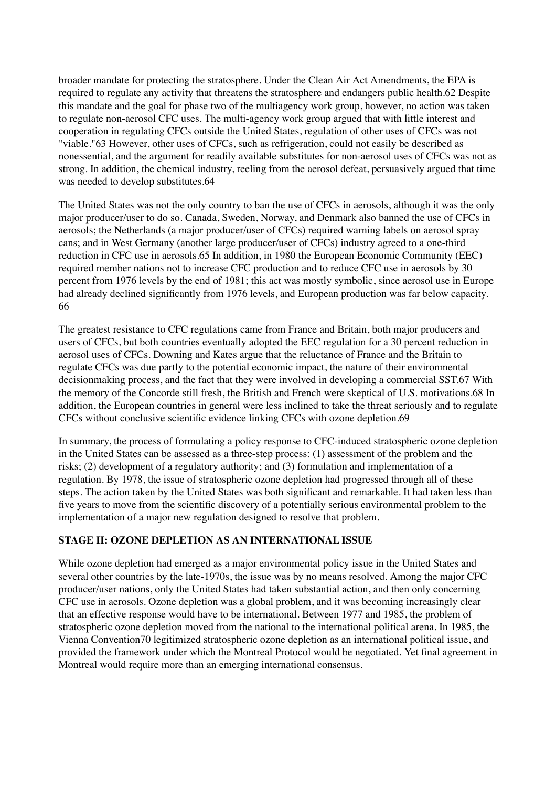broader mandate for protecting the stratosphere. Under the Clean Air Act Amendments, the EPA is required to regulate any activity that threatens the stratosphere and endangers public health.62 Despite this mandate and the goal for phase two of the multiagency work group, however, no action was taken to regulate non-aerosol CFC uses. The multi-agency work group argued that with little interest and cooperation in regulating CFCs outside the United States, regulation of other uses of CFCs was not "viable."63 However, other uses of CFCs, such as refrigeration, could not easily be described as nonessential, and the argument for readily available substitutes for non-aerosol uses of CFCs was not as strong. In addition, the chemical industry, reeling from the aerosol defeat, persuasively argued that time was needed to develop substitutes.64

The United States was not the only country to ban the use of CFCs in aerosols, although it was the only major producer/user to do so. Canada, Sweden, Norway, and Denmark also banned the use of CFCs in aerosols; the Netherlands (a major producer/user of CFCs) required warning labels on aerosol spray cans; and in West Germany (another large producer/user of CFCs) industry agreed to a one-third reduction in CFC use in aerosols.65 In addition, in 1980 the European Economic Community (EEC) required member nations not to increase CFC production and to reduce CFC use in aerosols by 30 percent from 1976 levels by the end of 1981; this act was mostly symbolic, since aerosol use in Europe had already declined significantly from 1976 levels, and European production was far below capacity. 66

The greatest resistance to CFC regulations came from France and Britain, both major producers and users of CFCs, but both countries eventually adopted the EEC regulation for a 30 percent reduction in aerosol uses of CFCs. Downing and Kates argue that the reluctance of France and the Britain to regulate CFCs was due partly to the potential economic impact, the nature of their environmental decisionmaking process, and the fact that they were involved in developing a commercial SST.67 With the memory of the Concorde still fresh, the British and French were skeptical of U.S. motivations.68 In addition, the European countries in general were less inclined to take the threat seriously and to regulate CFCs without conclusive scientific evidence linking CFCs with ozone depletion.69

In summary, the process of formulating a policy response to CFC-induced stratospheric ozone depletion in the United States can be assessed as a three-step process: (1) assessment of the problem and the risks; (2) development of a regulatory authority; and (3) formulation and implementation of a regulation. By 1978, the issue of stratospheric ozone depletion had progressed through all of these steps. The action taken by the United States was both significant and remarkable. It had taken less than five years to move from the scientific discovery of a potentially serious environmental problem to the implementation of a major new regulation designed to resolve that problem.

## **STAGE II: OZONE DEPLETION AS AN INTERNATIONAL ISSUE**

While ozone depletion had emerged as a major environmental policy issue in the United States and several other countries by the late-1970s, the issue was by no means resolved. Among the major CFC producer/user nations, only the United States had taken substantial action, and then only concerning CFC use in aerosols. Ozone depletion was a global problem, and it was becoming increasingly clear that an effective response would have to be international. Between 1977 and 1985, the problem of stratospheric ozone depletion moved from the national to the international political arena. In 1985, the Vienna Convention70 legitimized stratospheric ozone depletion as an international political issue, and provided the framework under which the Montreal Protocol would be negotiated. Yet final agreement in Montreal would require more than an emerging international consensus.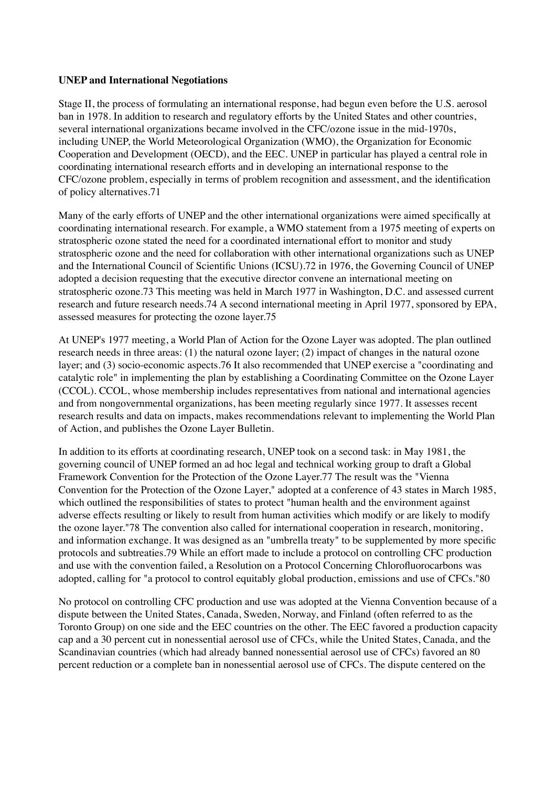#### **UNEP and International Negotiations**

Stage II, the process of formulating an international response, had begun even before the U.S. aerosol ban in 1978. In addition to research and regulatory efforts by the United States and other countries, several international organizations became involved in the CFC/ozone issue in the mid-1970s, including UNEP, the World Meteorological Organization (WMO), the Organization for Economic Cooperation and Development (OECD), and the EEC. UNEP in particular has played a central role in coordinating international research efforts and in developing an international response to the CFC/ozone problem, especially in terms of problem recognition and assessment, and the identification of policy alternatives.71

Many of the early efforts of UNEP and the other international organizations were aimed specifically at coordinating international research. For example, a WMO statement from a 1975 meeting of experts on stratospheric ozone stated the need for a coordinated international effort to monitor and study stratospheric ozone and the need for collaboration with other international organizations such as UNEP and the International Council of Scientific Unions (ICSU).72 in 1976, the Governing Council of UNEP adopted a decision requesting that the executive director convene an international meeting on stratospheric ozone.73 This meeting was held in March 1977 in Washington, D.C. and assessed current research and future research needs.74 A second international meeting in April 1977, sponsored by EPA, assessed measures for protecting the ozone layer.75

At UNEP's 1977 meeting, a World Plan of Action for the Ozone Layer was adopted. The plan outlined research needs in three areas: (1) the natural ozone layer; (2) impact of changes in the natural ozone layer; and (3) socio-economic aspects.76 It also recommended that UNEP exercise a "coordinating and catalytic role" in implementing the plan by establishing a Coordinating Committee on the Ozone Layer (CCOL). CCOL, whose membership includes representatives from national and international agencies and from nongovernmental organizations, has been meeting regularly since 1977. It assesses recent research results and data on impacts, makes recommendations relevant to implementing the World Plan of Action, and publishes the Ozone Layer Bulletin.

In addition to its efforts at coordinating research, UNEP took on a second task: in May 1981, the governing council of UNEP formed an ad hoc legal and technical working group to draft a Global Framework Convention for the Protection of the Ozone Layer.77 The result was the "Vienna Convention for the Protection of the Ozone Layer," adopted at a conference of 43 states in March 1985, which outlined the responsibilities of states to protect "human health and the environment against adverse effects resulting or likely to result from human activities which modify or are likely to modify the ozone layer."78 The convention also called for international cooperation in research, monitoring, and information exchange. It was designed as an "umbrella treaty" to be supplemented by more specific protocols and subtreaties.79 While an effort made to include a protocol on controlling CFC production and use with the convention failed, a Resolution on a Protocol Concerning Chlorofluorocarbons was adopted, calling for "a protocol to control equitably global production, emissions and use of CFCs."80

No protocol on controlling CFC production and use was adopted at the Vienna Convention because of a dispute between the United States, Canada, Sweden, Norway, and Finland (often referred to as the Toronto Group) on one side and the EEC countries on the other. The EEC favored a production capacity cap and a 30 percent cut in nonessential aerosol use of CFCs, while the United States, Canada, and the Scandinavian countries (which had already banned nonessential aerosol use of CFCs) favored an 80 percent reduction or a complete ban in nonessential aerosol use of CFCs. The dispute centered on the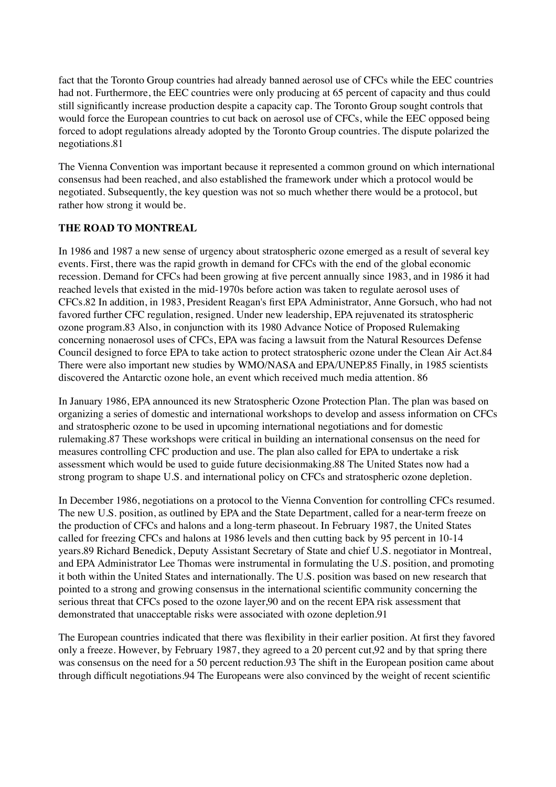fact that the Toronto Group countries had already banned aerosol use of CFCs while the EEC countries had not. Furthermore, the EEC countries were only producing at 65 percent of capacity and thus could still significantly increase production despite a capacity cap. The Toronto Group sought controls that would force the European countries to cut back on aerosol use of CFCs, while the EEC opposed being forced to adopt regulations already adopted by the Toronto Group countries. The dispute polarized the negotiations.81

The Vienna Convention was important because it represented a common ground on which international consensus had been reached, and also established the framework under which a protocol would be negotiated. Subsequently, the key question was not so much whether there would be a protocol, but rather how strong it would be.

#### **THE ROAD TO MONTREAL**

In 1986 and 1987 a new sense of urgency about stratospheric ozone emerged as a result of several key events. First, there was the rapid growth in demand for CFCs with the end of the global economic recession. Demand for CFCs had been growing at five percent annually since 1983, and in 1986 it had reached levels that existed in the mid-1970s before action was taken to regulate aerosol uses of CFCs.82 In addition, in 1983, President Reagan's first EPA Administrator, Anne Gorsuch, who had not favored further CFC regulation, resigned. Under new leadership, EPA rejuvenated its stratospheric ozone program.83 Also, in conjunction with its 1980 Advance Notice of Proposed Rulemaking concerning nonaerosol uses of CFCs, EPA was facing a lawsuit from the Natural Resources Defense Council designed to force EPA to take action to protect stratospheric ozone under the Clean Air Act.84 There were also important new studies by WMO/NASA and EPA/UNEP.85 Finally, in 1985 scientists discovered the Antarctic ozone hole, an event which received much media attention. 86

In January 1986, EPA announced its new Stratospheric Ozone Protection Plan. The plan was based on organizing a series of domestic and international workshops to develop and assess information on CFCs and stratospheric ozone to be used in upcoming international negotiations and for domestic rulemaking.87 These workshops were critical in building an international consensus on the need for measures controlling CFC production and use. The plan also called for EPA to undertake a risk assessment which would be used to guide future decisionmaking.88 The United States now had a strong program to shape U.S. and international policy on CFCs and stratospheric ozone depletion.

In December 1986, negotiations on a protocol to the Vienna Convention for controlling CFCs resumed. The new U.S. position, as outlined by EPA and the State Department, called for a near-term freeze on the production of CFCs and halons and a long-term phaseout. In February 1987, the United States called for freezing CFCs and halons at 1986 levels and then cutting back by 95 percent in 10-14 years.89 Richard Benedick, Deputy Assistant Secretary of State and chief U.S. negotiator in Montreal, and EPA Administrator Lee Thomas were instrumental in formulating the U.S. position, and promoting it both within the United States and internationally. The U.S. position was based on new research that pointed to a strong and growing consensus in the international scientific community concerning the serious threat that CFCs posed to the ozone layer,90 and on the recent EPA risk assessment that demonstrated that unacceptable risks were associated with ozone depletion.91

The European countries indicated that there was flexibility in their earlier position. At first they favored only a freeze. However, by February 1987, they agreed to a 20 percent cut,92 and by that spring there was consensus on the need for a 50 percent reduction.93 The shift in the European position came about through difficult negotiations.94 The Europeans were also convinced by the weight of recent scientific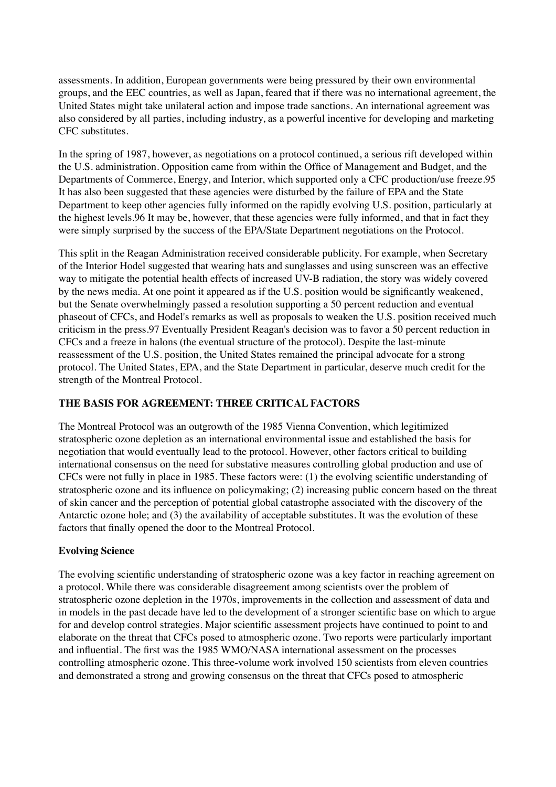assessments. In addition, European governments were being pressured by their own environmental groups, and the EEC countries, as well as Japan, feared that if there was no international agreement, the United States might take unilateral action and impose trade sanctions. An international agreement was also considered by all parties, including industry, as a powerful incentive for developing and marketing CFC substitutes.

In the spring of 1987, however, as negotiations on a protocol continued, a serious rift developed within the U.S. administration. Opposition came from within the Office of Management and Budget, and the Departments of Commerce, Energy, and Interior, which supported only a CFC production/use freeze.95 It has also been suggested that these agencies were disturbed by the failure of EPA and the State Department to keep other agencies fully informed on the rapidly evolving U.S. position, particularly at the highest levels.96 It may be, however, that these agencies were fully informed, and that in fact they were simply surprised by the success of the EPA/State Department negotiations on the Protocol.

This split in the Reagan Administration received considerable publicity. For example, when Secretary of the Interior Hodel suggested that wearing hats and sunglasses and using sunscreen was an effective way to mitigate the potential health effects of increased UV-B radiation, the story was widely covered by the news media. At one point it appeared as if the U.S. position would be significantly weakened, but the Senate overwhelmingly passed a resolution supporting a 50 percent reduction and eventual phaseout of CFCs, and Hodel's remarks as well as proposals to weaken the U.S. position received much criticism in the press.97 Eventually President Reagan's decision was to favor a 50 percent reduction in CFCs and a freeze in halons (the eventual structure of the protocol). Despite the last-minute reassessment of the U.S. position, the United States remained the principal advocate for a strong protocol. The United States, EPA, and the State Department in particular, deserve much credit for the strength of the Montreal Protocol.

## **THE BASIS FOR AGREEMENT: THREE CRITICAL FACTORS**

The Montreal Protocol was an outgrowth of the 1985 Vienna Convention, which legitimized stratospheric ozone depletion as an international environmental issue and established the basis for negotiation that would eventually lead to the protocol. However, other factors critical to building international consensus on the need for substative measures controlling global production and use of CFCs were not fully in place in 1985. These factors were: (1) the evolving scientific understanding of stratospheric ozone and its influence on policymaking; (2) increasing public concern based on the threat of skin cancer and the perception of potential global catastrophe associated with the discovery of the Antarctic ozone hole; and (3) the availability of acceptable substitutes. It was the evolution of these factors that finally opened the door to the Montreal Protocol.

#### **Evolving Science**

The evolving scientific understanding of stratospheric ozone was a key factor in reaching agreement on a protocol. While there was considerable disagreement among scientists over the problem of stratospheric ozone depletion in the 1970s, improvements in the collection and assessment of data and in models in the past decade have led to the development of a stronger scientific base on which to argue for and develop control strategies. Major scientific assessment projects have continued to point to and elaborate on the threat that CFCs posed to atmospheric ozone. Two reports were particularly important and influential. The first was the 1985 WMO/NASA international assessment on the processes controlling atmospheric ozone. This three-volume work involved 150 scientists from eleven countries and demonstrated a strong and growing consensus on the threat that CFCs posed to atmospheric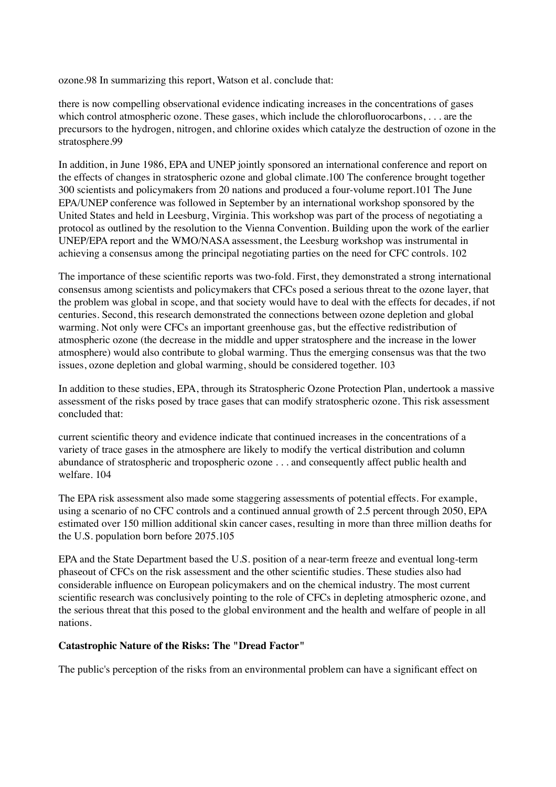ozone.98 In summarizing this report, Watson et al. conclude that:

there is now compelling observational evidence indicating increases in the concentrations of gases which control atmospheric ozone. These gases, which include the chlorofluorocarbons, . . . are the precursors to the hydrogen, nitrogen, and chlorine oxides which catalyze the destruction of ozone in the stratosphere.99

In addition, in June 1986, EPA and UNEP jointly sponsored an international conference and report on the effects of changes in stratospheric ozone and global climate.100 The conference brought together 300 scientists and policymakers from 20 nations and produced a four-volume report.101 The June EPA/UNEP conference was followed in September by an international workshop sponsored by the United States and held in Leesburg, Virginia. This workshop was part of the process of negotiating a protocol as outlined by the resolution to the Vienna Convention. Building upon the work of the earlier UNEP/EPA report and the WMO/NASA assessment, the Leesburg workshop was instrumental in achieving a consensus among the principal negotiating parties on the need for CFC controls. 102

The importance of these scientific reports was two-fold. First, they demonstrated a strong international consensus among scientists and policymakers that CFCs posed a serious threat to the ozone layer, that the problem was global in scope, and that society would have to deal with the effects for decades, if not centuries. Second, this research demonstrated the connections between ozone depletion and global warming. Not only were CFCs an important greenhouse gas, but the effective redistribution of atmospheric ozone (the decrease in the middle and upper stratosphere and the increase in the lower atmosphere) would also contribute to global warming. Thus the emerging consensus was that the two issues, ozone depletion and global warming, should be considered together. 103

In addition to these studies, EPA, through its Stratospheric Ozone Protection Plan, undertook a massive assessment of the risks posed by trace gases that can modify stratospheric ozone. This risk assessment concluded that:

current scientific theory and evidence indicate that continued increases in the concentrations of a variety of trace gases in the atmosphere are likely to modify the vertical distribution and column abundance of stratospheric and tropospheric ozone . . . and consequently affect public health and welfare. 104

The EPA risk assessment also made some staggering assessments of potential effects. For example, using a scenario of no CFC controls and a continued annual growth of 2.5 percent through 2050, EPA estimated over 150 million additional skin cancer cases, resulting in more than three million deaths for the U.S. population born before 2075.105

EPA and the State Department based the U.S. position of a near-term freeze and eventual long-term phaseout of CFCs on the risk assessment and the other scientific studies. These studies also had considerable influence on European policymakers and on the chemical industry. The most current scientific research was conclusively pointing to the role of CFCs in depleting atmospheric ozone, and the serious threat that this posed to the global environment and the health and welfare of people in all nations.

## **Catastrophic Nature of the Risks: The "Dread Factor"**

The public's perception of the risks from an environmental problem can have a significant effect on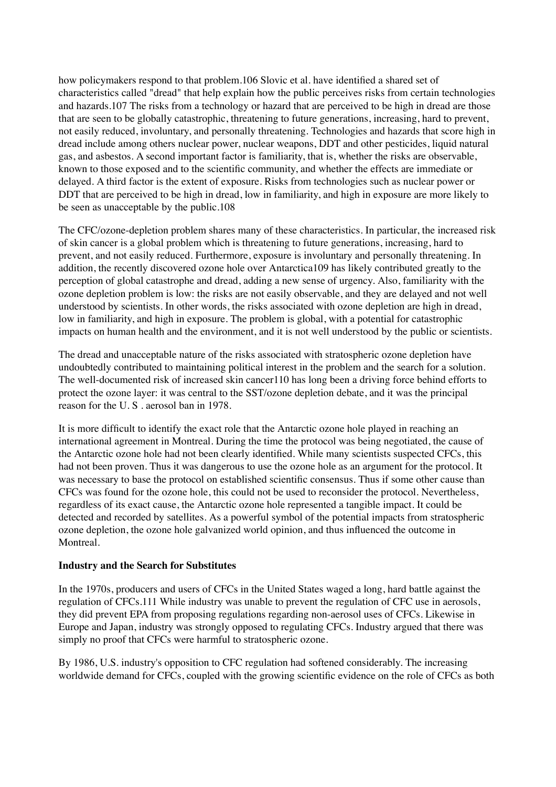how policymakers respond to that problem.106 Slovic et al. have identified a shared set of characteristics called "dread" that help explain how the public perceives risks from certain technologies and hazards.107 The risks from a technology or hazard that are perceived to be high in dread are those that are seen to be globally catastrophic, threatening to future generations, increasing, hard to prevent, not easily reduced, involuntary, and personally threatening. Technologies and hazards that score high in dread include among others nuclear power, nuclear weapons, DDT and other pesticides, liquid natural gas, and asbestos. A second important factor is familiarity, that is, whether the risks are observable, known to those exposed and to the scientific community, and whether the effects are immediate or delayed. A third factor is the extent of exposure. Risks from technologies such as nuclear power or DDT that are perceived to be high in dread, low in familiarity, and high in exposure are more likely to be seen as unacceptable by the public.108

The CFC/ozone-depletion problem shares many of these characteristics. In particular, the increased risk of skin cancer is a global problem which is threatening to future generations, increasing, hard to prevent, and not easily reduced. Furthermore, exposure is involuntary and personally threatening. In addition, the recently discovered ozone hole over Antarctica109 has likely contributed greatly to the perception of global catastrophe and dread, adding a new sense of urgency. Also, familiarity with the ozone depletion problem is low: the risks are not easily observable, and they are delayed and not well understood by scientists. In other words, the risks associated with ozone depletion are high in dread, low in familiarity, and high in exposure. The problem is global, with a potential for catastrophic impacts on human health and the environment, and it is not well understood by the public or scientists.

The dread and unacceptable nature of the risks associated with stratospheric ozone depletion have undoubtedly contributed to maintaining political interest in the problem and the search for a solution. The well-documented risk of increased skin cancer110 has long been a driving force behind efforts to protect the ozone layer: it was central to the SST/ozone depletion debate, and it was the principal reason for the U. S . aerosol ban in 1978.

It is more difficult to identify the exact role that the Antarctic ozone hole played in reaching an international agreement in Montreal. During the time the protocol was being negotiated, the cause of the Antarctic ozone hole had not been clearly identified. While many scientists suspected CFCs, this had not been proven. Thus it was dangerous to use the ozone hole as an argument for the protocol. It was necessary to base the protocol on established scientific consensus. Thus if some other cause than CFCs was found for the ozone hole, this could not be used to reconsider the protocol. Nevertheless, regardless of its exact cause, the Antarctic ozone hole represented a tangible impact. It could be detected and recorded by satellites. As a powerful symbol of the potential impacts from stratospheric ozone depletion, the ozone hole galvanized world opinion, and thus influenced the outcome in Montreal.

#### **Industry and the Search for Substitutes**

In the 1970s, producers and users of CFCs in the United States waged a long, hard battle against the regulation of CFCs.111 While industry was unable to prevent the regulation of CFC use in aerosols, they did prevent EPA from proposing regulations regarding non-aerosol uses of CFCs. Likewise in Europe and Japan, industry was strongly opposed to regulating CFCs. Industry argued that there was simply no proof that CFCs were harmful to stratospheric ozone.

By 1986, U.S. industry's opposition to CFC regulation had softened considerably. The increasing worldwide demand for CFCs, coupled with the growing scientific evidence on the role of CFCs as both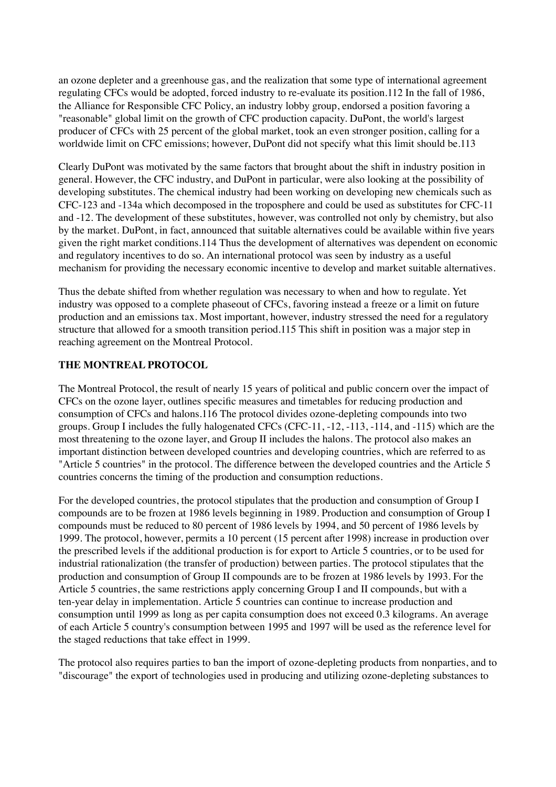an ozone depleter and a greenhouse gas, and the realization that some type of international agreement regulating CFCs would be adopted, forced industry to re-evaluate its position.112 In the fall of 1986, the Alliance for Responsible CFC Policy, an industry lobby group, endorsed a position favoring a "reasonable" global limit on the growth of CFC production capacity. DuPont, the world's largest producer of CFCs with 25 percent of the global market, took an even stronger position, calling for a worldwide limit on CFC emissions; however, DuPont did not specify what this limit should be.113

Clearly DuPont was motivated by the same factors that brought about the shift in industry position in general. However, the CFC industry, and DuPont in particular, were also looking at the possibility of developing substitutes. The chemical industry had been working on developing new chemicals such as CFC-123 and -134a which decomposed in the troposphere and could be used as substitutes for CFC-11 and -12. The development of these substitutes, however, was controlled not only by chemistry, but also by the market. DuPont, in fact, announced that suitable alternatives could be available within five years given the right market conditions.114 Thus the development of alternatives was dependent on economic and regulatory incentives to do so. An international protocol was seen by industry as a useful mechanism for providing the necessary economic incentive to develop and market suitable alternatives.

Thus the debate shifted from whether regulation was necessary to when and how to regulate. Yet industry was opposed to a complete phaseout of CFCs, favoring instead a freeze or a limit on future production and an emissions tax. Most important, however, industry stressed the need for a regulatory structure that allowed for a smooth transition period.115 This shift in position was a major step in reaching agreement on the Montreal Protocol.

#### **THE MONTREAL PROTOCOL**

The Montreal Protocol, the result of nearly 15 years of political and public concern over the impact of CFCs on the ozone layer, outlines specific measures and timetables for reducing production and consumption of CFCs and halons.116 The protocol divides ozone-depleting compounds into two groups. Group I includes the fully halogenated CFCs (CFC-11, -12, -113, -114, and -115) which are the most threatening to the ozone layer, and Group II includes the halons. The protocol also makes an important distinction between developed countries and developing countries, which are referred to as "Article 5 countries" in the protocol. The difference between the developed countries and the Article 5 countries concerns the timing of the production and consumption reductions.

For the developed countries, the protocol stipulates that the production and consumption of Group I compounds are to be frozen at 1986 levels beginning in 1989. Production and consumption of Group I compounds must be reduced to 80 percent of 1986 levels by 1994, and 50 percent of 1986 levels by 1999. The protocol, however, permits a 10 percent (15 percent after 1998) increase in production over the prescribed levels if the additional production is for export to Article 5 countries, or to be used for industrial rationalization (the transfer of production) between parties. The protocol stipulates that the production and consumption of Group II compounds are to be frozen at 1986 levels by 1993. For the Article 5 countries, the same restrictions apply concerning Group I and II compounds, but with a ten-year delay in implementation. Article 5 countries can continue to increase production and consumption until 1999 as long as per capita consumption does not exceed 0.3 kilograms. An average of each Article 5 country's consumption between 1995 and 1997 will be used as the reference level for the staged reductions that take effect in 1999.

The protocol also requires parties to ban the import of ozone-depleting products from nonparties, and to "discourage" the export of technologies used in producing and utilizing ozone-depleting substances to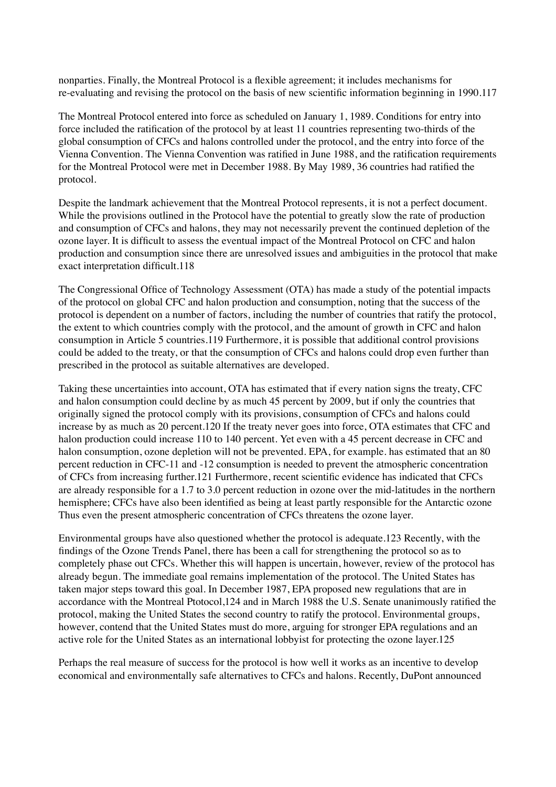nonparties. Finally, the Montreal Protocol is a flexible agreement; it includes mechanisms for re-evaluating and revising the protocol on the basis of new scientific information beginning in 1990.117

The Montreal Protocol entered into force as scheduled on January 1, 1989. Conditions for entry into force included the ratification of the protocol by at least 11 countries representing two-thirds of the global consumption of CFCs and halons controlled under the protocol, and the entry into force of the Vienna Convention. The Vienna Convention was ratified in June 1988, and the ratification requirements for the Montreal Protocol were met in December 1988. By May 1989, 36 countries had ratified the protocol.

Despite the landmark achievement that the Montreal Protocol represents, it is not a perfect document. While the provisions outlined in the Protocol have the potential to greatly slow the rate of production and consumption of CFCs and halons, they may not necessarily prevent the continued depletion of the ozone layer. It is difficult to assess the eventual impact of the Montreal Protocol on CFC and halon production and consumption since there are unresolved issues and ambiguities in the protocol that make exact interpretation difficult.118

The Congressional Office of Technology Assessment (OTA) has made a study of the potential impacts of the protocol on global CFC and halon production and consumption, noting that the success of the protocol is dependent on a number of factors, including the number of countries that ratify the protocol, the extent to which countries comply with the protocol, and the amount of growth in CFC and halon consumption in Article 5 countries.119 Furthermore, it is possible that additional control provisions could be added to the treaty, or that the consumption of CFCs and halons could drop even further than prescribed in the protocol as suitable alternatives are developed.

Taking these uncertainties into account, OTA has estimated that if every nation signs the treaty, CFC and halon consumption could decline by as much 45 percent by 2009, but if only the countries that originally signed the protocol comply with its provisions, consumption of CFCs and halons could increase by as much as 20 percent.120 If the treaty never goes into force, OTA estimates that CFC and halon production could increase 110 to 140 percent. Yet even with a 45 percent decrease in CFC and halon consumption, ozone depletion will not be prevented. EPA, for example. has estimated that an 80 percent reduction in CFC-11 and -12 consumption is needed to prevent the atmospheric concentration of CFCs from increasing further.121 Furthermore, recent scientific evidence has indicated that CFCs are already responsible for a 1.7 to 3.0 percent reduction in ozone over the mid-latitudes in the northern hemisphere; CFCs have also been identified as being at least partly responsible for the Antarctic ozone Thus even the present atmospheric concentration of CFCs threatens the ozone layer.

Environmental groups have also questioned whether the protocol is adequate.123 Recently, with the findings of the Ozone Trends Panel, there has been a call for strengthening the protocol so as to completely phase out CFCs. Whether this will happen is uncertain, however, review of the protocol has already begun. The immediate goal remains implementation of the protocol. The United States has taken major steps toward this goal. In December 1987, EPA proposed new regulations that are in accordance with the Montreal Ptotocol,124 and in March 1988 the U.S. Senate unanimously ratified the protocol, making the United States the second country to ratify the protocol. Environmental groups, however, contend that the United States must do more, arguing for stronger EPA regulations and an active role for the United States as an international lobbyist for protecting the ozone layer.125

Perhaps the real measure of success for the protocol is how well it works as an incentive to develop economical and environmentally safe alternatives to CFCs and halons. Recently, DuPont announced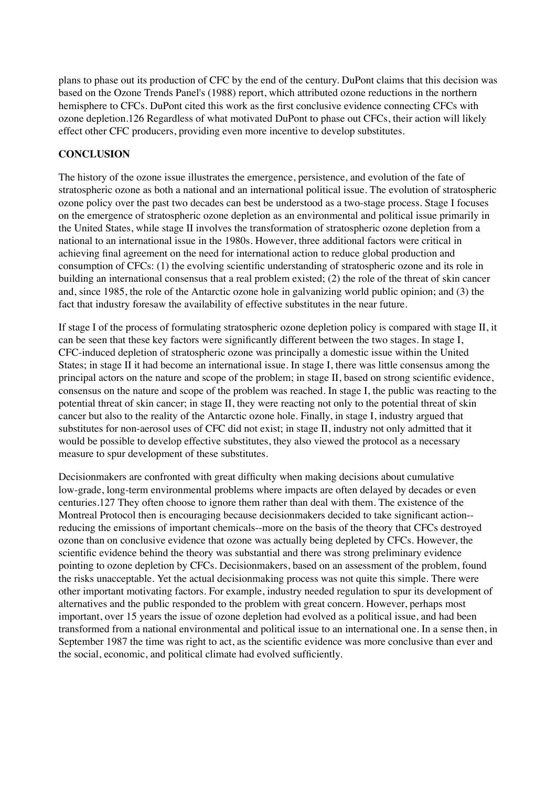plans to phase out its production of CFC by the end of the century. DuPont claims that this decision was based on the Ozone Trends Panel's (1988) report, which attributed ozone reductions in the northern hemisphere to CFCs. DuPont cited this work as the first conclusive evidence connecting CFCs with ozone depletion.126 Regardless of what motivated DuPont to phase out CFCs, their action will likely effect other CFC producers, providing even more incentive to develop substitutes.

## **CONCLUSION**

The history of the ozone issue illustrates the emergence, persistence, and evolution of the fate of stratospheric ozone as both a national and an international political issue. The evolution of stratospheric ozone policy over the past two decades can best be understood as a two-stage process. Stage I focuses on the emergence of stratospheric ozone depletion as an environmental and political issue primarily in the United States, while stage II involves the transformation of stratospheric ozone depletion from a national to an international issue in the 1980s. However, three additional factors were critical in achieving final agreement on the need for international action to reduce global production and consumption of CFCs: (1) the evolving scientific understanding of stratospheric ozone and its role in building an international consensus that a real problem existed; (2) the role of the threat of skin cancer and, since 1985, the role of the Antarctic ozone hole in galvanizing world public opinion; and (3) the fact that industry foresaw the availability of effective substitutes in the near future.

If stage I of the process of formulating stratospheric ozone depletion policy is compared with stage II, it can be seen that these key factors were significantly different between the two stages. In stage I, CFC-induced depletion of stratospheric ozone was principally a domestic issue within the United States; in stage II it had become an international issue. In stage I, there was little consensus among the principal actors on the nature and scope of the problem; in stage II, based on strong scientific evidence, consensus on the nature and scope of the problem was reached. In stage I, the public was reacting to the potential threat of skin cancer; in stage II, they were reacting not only to the potential threat of skin cancer but also to the reality of the Antarctic ozone hole. Finally, in stage I, industry argued that substitutes for non-aerosol uses of CFC did not exist; in stage II, industry not only admitted that it would be possible to develop effective substitutes, they also viewed the protocol as a necessary measure to spur development of these substitutes.

Decisionmakers are confronted with great difficulty when making decisions about cumulative low-grade, long-term environmental problems where impacts are often delayed by decades or even centuries.127 They often choose to ignore them rather than deal with them. The existence of the Montreal Protocol then is encouraging because decisionmakers decided to take significant action- reducing the emissions of important chemicals--more on the basis of the theory that CFCs destroyed ozone than on conclusive evidence that ozone was actually being depleted by CFCs. However, the scientific evidence behind the theory was substantial and there was strong preliminary evidence pointing to ozone depletion by CFCs. Decisionmakers, based on an assessment of the problem, found the risks unacceptable. Yet the actual decisionmaking process was not quite this simple. There were other important motivating factors. For example, industry needed regulation to spur its development of alternatives and the public responded to the problem with great concern. However, perhaps most important, over 15 years the issue of ozone depletion had evolved as a political issue, and had been transformed from a national environmental and political issue to an international one. In a sense then, in September 1987 the time was right to act, as the scientific evidence was more conclusive than ever and the social, economic, and political climate had evolved sufficiently.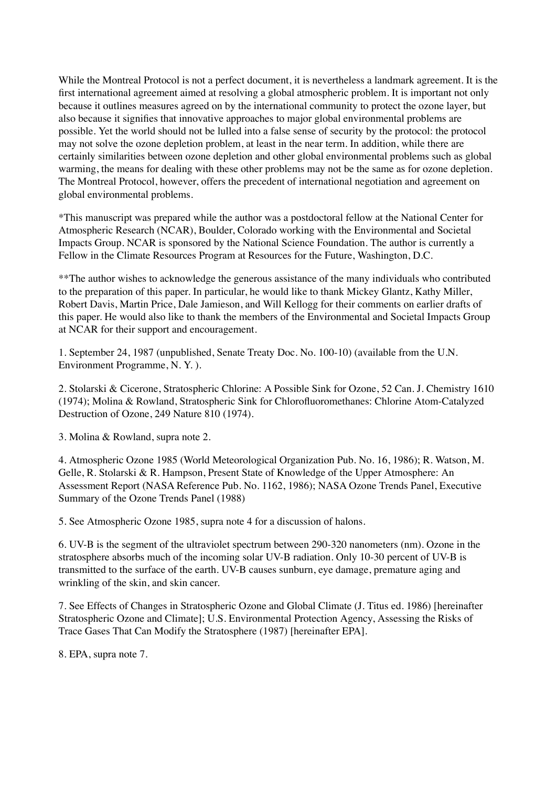While the Montreal Protocol is not a perfect document, it is nevertheless a landmark agreement. It is the first international agreement aimed at resolving a global atmospheric problem. It is important not only because it outlines measures agreed on by the international community to protect the ozone layer, but also because it signifies that innovative approaches to major global environmental problems are possible. Yet the world should not be lulled into a false sense of security by the protocol: the protocol may not solve the ozone depletion problem, at least in the near term. In addition, while there are certainly similarities between ozone depletion and other global environmental problems such as global warming, the means for dealing with these other problems may not be the same as for ozone depletion. The Montreal Protocol, however, offers the precedent of international negotiation and agreement on global environmental problems.

\*This manuscript was prepared while the author was a postdoctoral fellow at the National Center for Atmospheric Research (NCAR), Boulder, Colorado working with the Environmental and Societal Impacts Group. NCAR is sponsored by the National Science Foundation. The author is currently a Fellow in the Climate Resources Program at Resources for the Future, Washington, D.C.

\*\*The author wishes to acknowledge the generous assistance of the many individuals who contributed to the preparation of this paper. In particular, he would like to thank Mickey Glantz, Kathy Miller, Robert Davis, Martin Price, Dale Jamieson, and Will Kellogg for their comments on earlier drafts of this paper. He would also like to thank the members of the Environmental and Societal Impacts Group at NCAR for their support and encouragement.

1. September 24, 1987 (unpublished, Senate Treaty Doc. No. 100-10) (available from the U.N. Environment Programme, N. Y. ).

2. Stolarski & Cicerone, Stratospheric Chlorine: A Possible Sink for Ozone, 52 Can. J. Chemistry 1610 (1974); Molina & Rowland, Stratospheric Sink for Chlorofluoromethanes: Chlorine Atom-Catalyzed Destruction of Ozone, 249 Nature 810 (1974).

3. Molina & Rowland, supra note 2.

4. Atmospheric Ozone 1985 (World Meteorological Organization Pub. No. 16, 1986); R. Watson, M. Gelle, R. Stolarski & R. Hampson, Present State of Knowledge of the Upper Atmosphere: An Assessment Report (NASA Reference Pub. No. 1162, 1986); NASA Ozone Trends Panel, Executive Summary of the Ozone Trends Panel (1988)

5. See Atmospheric Ozone 1985, supra note 4 for a discussion of halons.

6. UV-B is the segment of the ultraviolet spectrum between 290-320 nanometers (nm). Ozone in the stratosphere absorbs much of the incoming solar UV-B radiation. Only 10-30 percent of UV-B is transmitted to the surface of the earth. UV-B causes sunburn, eye damage, premature aging and wrinkling of the skin, and skin cancer.

7. See Effects of Changes in Stratospheric Ozone and Global Climate (J. Titus ed. 1986) [hereinafter Stratospheric Ozone and Climate]; U.S. Environmental Protection Agency, Assessing the Risks of Trace Gases That Can Modify the Stratosphere (1987) [hereinafter EPA].

8. EPA, supra note 7.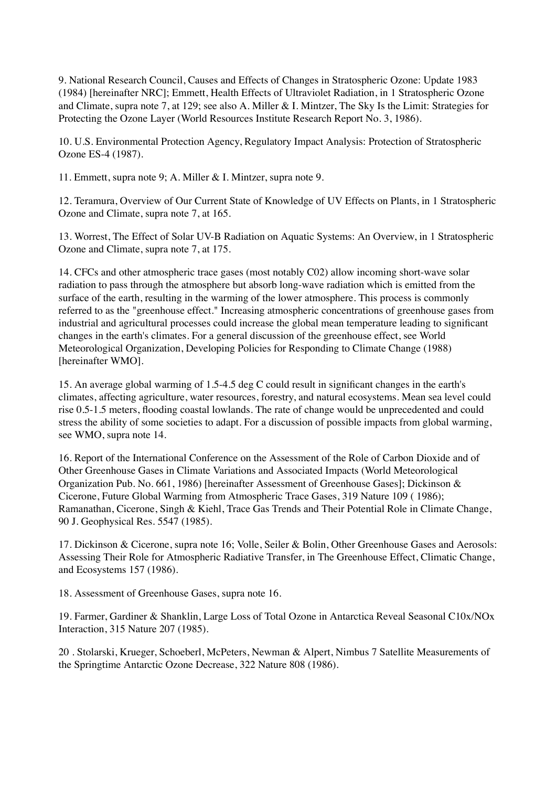9. National Research Council, Causes and Effects of Changes in Stratospheric Ozone: Update 1983 (1984) [hereinafter NRC]; Emmett, Health Effects of Ultraviolet Radiation, in 1 Stratospheric Ozone and Climate, supra note 7, at 129; see also A. Miller & I. Mintzer, The Sky Is the Limit: Strategies for Protecting the Ozone Layer (World Resources Institute Research Report No. 3, 1986).

10. U.S. Environmental Protection Agency, Regulatory Impact Analysis: Protection of Stratospheric Ozone ES-4 (1987).

11. Emmett, supra note 9; A. Miller & I. Mintzer, supra note 9.

12. Teramura, Overview of Our Current State of Knowledge of UV Effects on Plants, in 1 Stratospheric Ozone and Climate, supra note 7, at 165.

13. Worrest, The Effect of Solar UV-B Radiation on Aquatic Systems: An Overview, in 1 Stratospheric Ozone and Climate, supra note 7, at 175.

14. CFCs and other atmospheric trace gases (most notably C02) allow incoming short-wave solar radiation to pass through the atmosphere but absorb long-wave radiation which is emitted from the surface of the earth, resulting in the warming of the lower atmosphere. This process is commonly referred to as the "greenhouse effect." Increasing atmospheric concentrations of greenhouse gases from industrial and agricultural processes could increase the global mean temperature leading to significant changes in the earth's climates. For a general discussion of the greenhouse effect, see World Meteorological Organization, Developing Policies for Responding to Climate Change (1988) [hereinafter WMO].

15. An average global warming of 1.5-4.5 deg C could result in significant changes in the earth's climates, affecting agriculture, water resources, forestry, and natural ecosystems. Mean sea level could rise 0.5-1.5 meters, flooding coastal lowlands. The rate of change would be unprecedented and could stress the ability of some societies to adapt. For a discussion of possible impacts from global warming, see WMO, supra note 14.

16. Report of the International Conference on the Assessment of the Role of Carbon Dioxide and of Other Greenhouse Gases in Climate Variations and Associated Impacts (World Meteorological Organization Pub. No. 661, 1986) [hereinafter Assessment of Greenhouse Gases]; Dickinson & Cicerone, Future Global Warming from Atmospheric Trace Gases, 319 Nature 109 ( 1986); Ramanathan, Cicerone, Singh & Kiehl, Trace Gas Trends and Their Potential Role in Climate Change, 90 J. Geophysical Res. 5547 (1985).

17. Dickinson & Cicerone, supra note 16; Volle, Seiler & Bolin, Other Greenhouse Gases and Aerosols: Assessing Their Role for Atmospheric Radiative Transfer, in The Greenhouse Effect, Climatic Change, and Ecosystems 157 (1986).

18. Assessment of Greenhouse Gases, supra note 16.

19. Farmer, Gardiner & Shanklin, Large Loss of Total Ozone in Antarctica Reveal Seasonal C10x/NOx Interaction, 315 Nature 207 (1985).

20 . Stolarski, Krueger, Schoeberl, McPeters, Newman & Alpert, Nimbus 7 Satellite Measurements of the Springtime Antarctic Ozone Decrease, 322 Nature 808 (1986).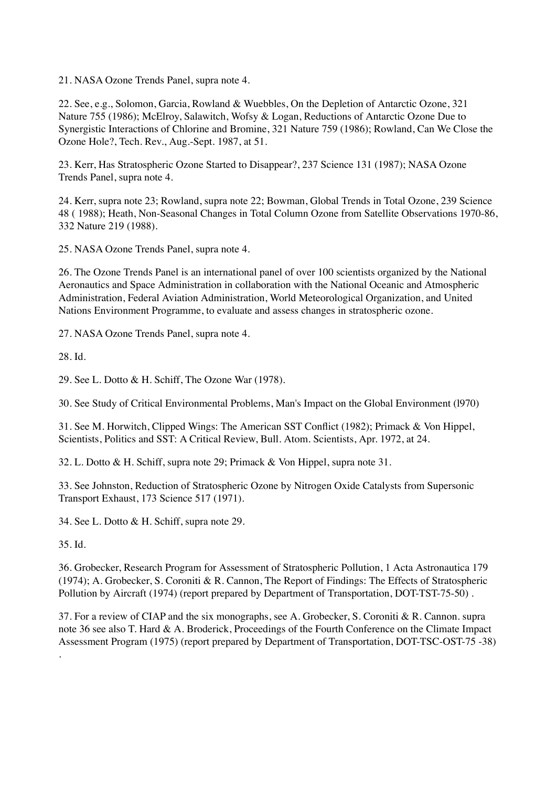21. NASA Ozone Trends Panel, supra note 4.

22. See, e.g., Solomon, Garcia, Rowland & Wuebbles, On the Depletion of Antarctic Ozone, 321 Nature 755 (1986); McElroy, Salawitch, Wofsy & Logan, Reductions of Antarctic Ozone Due to Synergistic Interactions of Chlorine and Bromine, 321 Nature 759 (1986); Rowland, Can We Close the Ozone Hole?, Tech. Rev., Aug.-Sept. 1987, at 51.

23. Kerr, Has Stratospheric Ozone Started to Disappear?, 237 Science 131 (1987); NASA Ozone Trends Panel, supra note 4.

24. Kerr, supra note 23; Rowland, supra note 22; Bowman, Global Trends in Total Ozone, 239 Science 48 ( 1988); Heath, Non-Seasonal Changes in Total Column Ozone from Satellite Observations 1970-86, 332 Nature 219 (1988).

25. NASA Ozone Trends Panel, supra note 4.

26. The Ozone Trends Panel is an international panel of over 100 scientists organized by the National Aeronautics and Space Administration in collaboration with the National Oceanic and Atmospheric Administration, Federal Aviation Administration, World Meteorological Organization, and United Nations Environment Programme, to evaluate and assess changes in stratospheric ozone.

27. NASA Ozone Trends Panel, supra note 4.

28. Id.

29. See L. Dotto & H. Schiff, The Ozone War (1978).

30. See Study of Critical Environmental Problems, Man's Impact on the Global Environment (l970)

31. See M. Horwitch, Clipped Wings: The American SST Conflict (1982); Primack & Von Hippel, Scientists, Politics and SST: A Critical Review, Bull. Atom. Scientists, Apr. 1972, at 24.

32. L. Dotto & H. Schiff, supra note 29; Primack & Von Hippel, supra note 31.

33. See Johnston, Reduction of Stratospheric Ozone by Nitrogen Oxide Catalysts from Supersonic Transport Exhaust, 173 Science 517 (1971).

34. See L. Dotto & H. Schiff, supra note 29.

35. Id.

.

36. Grobecker, Research Program for Assessment of Stratospheric Pollution, 1 Acta Astronautica 179 (1974); A. Grobecker, S. Coroniti & R. Cannon, The Report of Findings: The Effects of Stratospheric Pollution by Aircraft (1974) (report prepared by Department of Transportation, DOT-TST-75-50).

37. For a review of CIAP and the six monographs, see A. Grobecker, S. Coroniti & R. Cannon. supra note 36 see also T. Hard & A. Broderick, Proceedings of the Fourth Conference on the Climate Impact Assessment Program (1975) (report prepared by Department of Transportation, DOT-TSC-OST-75 -38)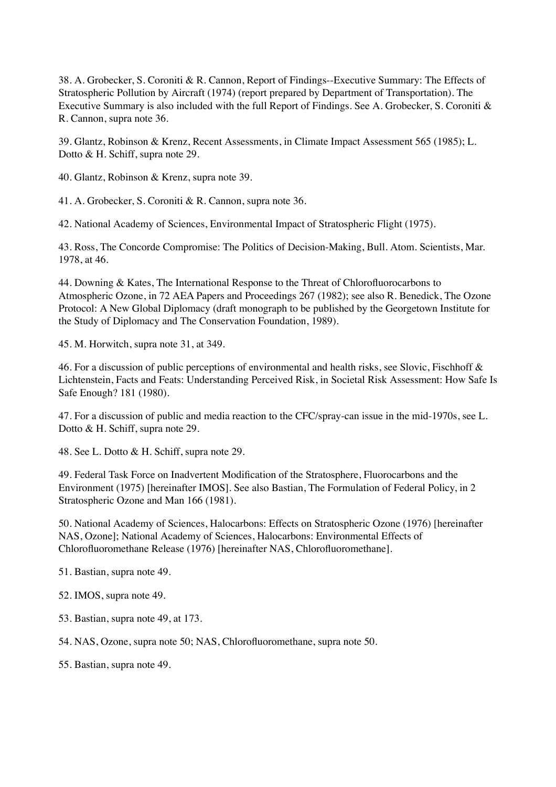38. A. Grobecker, S. Coroniti & R. Cannon, Report of Findings--Executive Summary: The Effects of Stratospheric Pollution by Aircraft (1974) (report prepared by Department of Transportation). The Executive Summary is also included with the full Report of Findings. See A. Grobecker, S. Coroniti & R. Cannon, supra note 36.

39. Glantz, Robinson & Krenz, Recent Assessments, in Climate Impact Assessment 565 (1985); L. Dotto & H. Schiff, supra note 29.

40. Glantz, Robinson & Krenz, supra note 39.

41. A. Grobecker, S. Coroniti & R. Cannon, supra note 36.

42. National Academy of Sciences, Environmental Impact of Stratospheric Flight (1975).

43. Ross, The Concorde Compromise: The Politics of Decision-Making, Bull. Atom. Scientists, Mar. 1978, at 46.

44. Downing & Kates, The International Response to the Threat of Chlorofluorocarbons to Atmospheric Ozone, in 72 AEA Papers and Proceedings 267 (1982); see also R. Benedick, The Ozone Protocol: A New Global Diplomacy (draft monograph to be published by the Georgetown Institute for the Study of Diplomacy and The Conservation Foundation, 1989).

45. M. Horwitch, supra note 31, at 349.

46. For a discussion of public perceptions of environmental and health risks, see Slovic, Fischhoff & Lichtenstein, Facts and Feats: Understanding Perceived Risk, in Societal Risk Assessment: How Safe Is Safe Enough? 181 (1980).

47. For a discussion of public and media reaction to the CFC/spray-can issue in the mid-1970s, see L. Dotto & H. Schiff, supra note 29.

48. See L. Dotto & H. Schiff, supra note 29.

49. Federal Task Force on Inadvertent Modification of the Stratosphere, Fluorocarbons and the Environment (1975) [hereinafter IMOS]. See also Bastian, The Formulation of Federal Policy, in 2 Stratospheric Ozone and Man 166 (1981).

50. National Academy of Sciences, Halocarbons: Effects on Stratospheric Ozone (1976) [hereinafter NAS, Ozone]; National Academy of Sciences, Halocarbons: Environmental Effects of Chlorofluoromethane Release (1976) [hereinafter NAS, Chlorofluoromethane].

51. Bastian, supra note 49.

52. IMOS, supra note 49.

53. Bastian, supra note 49, at 173.

54. NAS, Ozone, supra note 50; NAS, Chlorofluoromethane, supra note 50.

55. Bastian, supra note 49.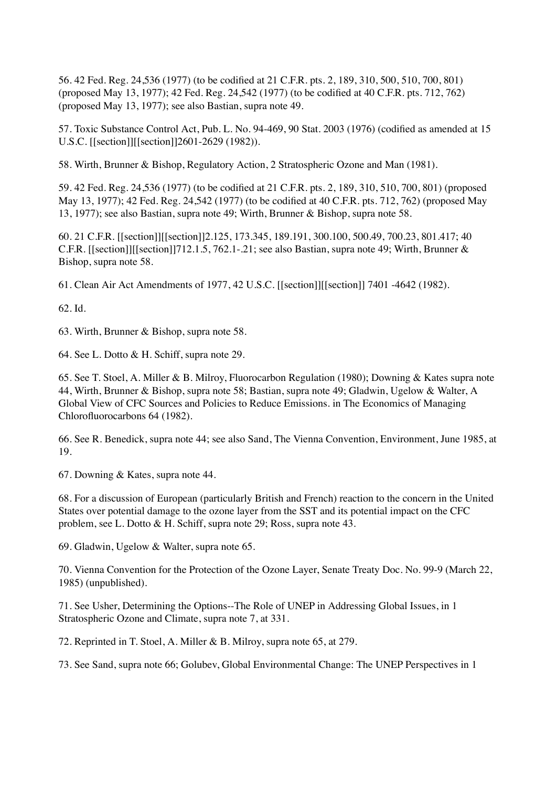56. 42 Fed. Reg. 24,536 (1977) (to be codified at 21 C.F.R. pts. 2, 189, 310, 500, 510, 700, 801) (proposed May 13, 1977); 42 Fed. Reg. 24,542 (1977) (to be codified at 40 C.F.R. pts. 712, 762) (proposed May 13, 1977); see also Bastian, supra note 49.

57. Toxic Substance Control Act, Pub. L. No. 94-469, 90 Stat. 2003 (1976) (codified as amended at 15 U.S.C. [[section]][[section]]2601-2629 (1982)).

58. Wirth, Brunner & Bishop, Regulatory Action, 2 Stratospheric Ozone and Man (1981).

59. 42 Fed. Reg. 24,536 (1977) (to be codified at 21 C.F.R. pts. 2, 189, 310, 510, 700, 801) (proposed May 13, 1977); 42 Fed. Reg. 24,542 (1977) (to be codified at 40 C.F.R. pts. 712, 762) (proposed May 13, 1977); see also Bastian, supra note 49; Wirth, Brunner & Bishop, supra note 58.

60. 21 C.F.R. [[section]][[section]]2.125, 173.345, 189.191, 300.100, 500.49, 700.23, 801.417; 40 C.F.R. [[section]][[section]]712.1.5, 762.1-.21; see also Bastian, supra note 49; Wirth, Brunner & Bishop, supra note 58.

61. Clean Air Act Amendments of 1977, 42 U.S.C. [[section]][[section]] 7401 -4642 (1982).

62. Id.

63. Wirth, Brunner & Bishop, supra note 58.

64. See L. Dotto & H. Schiff, supra note 29.

65. See T. Stoel, A. Miller & B. Milroy, Fluorocarbon Regulation (1980); Downing & Kates supra note 44, Wirth, Brunner & Bishop, supra note 58; Bastian, supra note 49; Gladwin, Ugelow & Walter, A Global View of CFC Sources and Policies to Reduce Emissions. in The Economics of Managing Chlorofluorocarbons 64 (1982).

66. See R. Benedick, supra note 44; see also Sand, The Vienna Convention, Environment, June 1985, at 19.

67. Downing & Kates, supra note 44.

68. For a discussion of European (particularly British and French) reaction to the concern in the United States over potential damage to the ozone layer from the SST and its potential impact on the CFC problem, see L. Dotto & H. Schiff, supra note 29; Ross, supra note 43.

69. Gladwin, Ugelow & Walter, supra note 65.

70. Vienna Convention for the Protection of the Ozone Layer, Senate Treaty Doc. No. 99-9 (March 22, 1985) (unpublished).

71. See Usher, Determining the Options--The Role of UNEP in Addressing Global Issues, in 1 Stratospheric Ozone and Climate, supra note 7, at 331.

72. Reprinted in T. Stoel, A. Miller & B. Milroy, supra note 65, at 279.

73. See Sand, supra note 66; Golubev, Global Environmental Change: The UNEP Perspectives in 1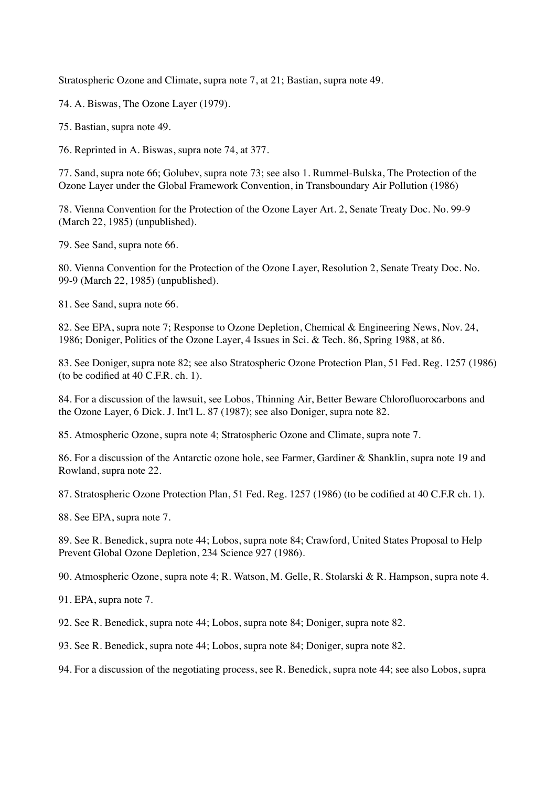Stratospheric Ozone and Climate, supra note 7, at 21; Bastian, supra note 49.

74. A. Biswas, The Ozone Layer (1979).

75. Bastian, supra note 49.

76. Reprinted in A. Biswas, supra note 74, at 377.

77. Sand, supra note 66; Golubev, supra note 73; see also 1. Rummel-Bulska, The Protection of the Ozone Layer under the Global Framework Convention, in Transboundary Air Pollution (1986)

78. Vienna Convention for the Protection of the Ozone Layer Art. 2, Senate Treaty Doc. No. 99-9 (March 22, 1985) (unpublished).

79. See Sand, supra note 66.

80. Vienna Convention for the Protection of the Ozone Layer, Resolution 2, Senate Treaty Doc. No. 99-9 (March 22, 1985) (unpublished).

81. See Sand, supra note 66.

82. See EPA, supra note 7; Response to Ozone Depletion, Chemical & Engineering News, Nov. 24, 1986; Doniger, Politics of the Ozone Layer, 4 Issues in Sci. & Tech. 86, Spring 1988, at 86.

83. See Doniger, supra note 82; see also Stratospheric Ozone Protection Plan, 51 Fed. Reg. 1257 (1986) (to be codified at 40 C.F.R. ch. 1).

84. For a discussion of the lawsuit, see Lobos, Thinning Air, Better Beware Chlorofluorocarbons and the Ozone Layer, 6 Dick. J. Int'l L. 87 (1987); see also Doniger, supra note 82.

85. Atmospheric Ozone, supra note 4; Stratospheric Ozone and Climate, supra note 7.

86. For a discussion of the Antarctic ozone hole, see Farmer, Gardiner & Shanklin, supra note 19 and Rowland, supra note 22.

87. Stratospheric Ozone Protection Plan, 51 Fed. Reg. 1257 (1986) (to be codified at 40 C.F.R ch. 1).

88. See EPA, supra note 7.

89. See R. Benedick, supra note 44; Lobos, supra note 84; Crawford, United States Proposal to Help Prevent Global Ozone Depletion, 234 Science 927 (1986).

90. Atmospheric Ozone, supra note 4; R. Watson, M. Gelle, R. Stolarski & R. Hampson, supra note 4.

91. EPA, supra note 7.

92. See R. Benedick, supra note 44; Lobos, supra note 84; Doniger, supra note 82.

93. See R. Benedick, supra note 44; Lobos, supra note 84; Doniger, supra note 82.

94. For a discussion of the negotiating process, see R. Benedick, supra note 44; see also Lobos, supra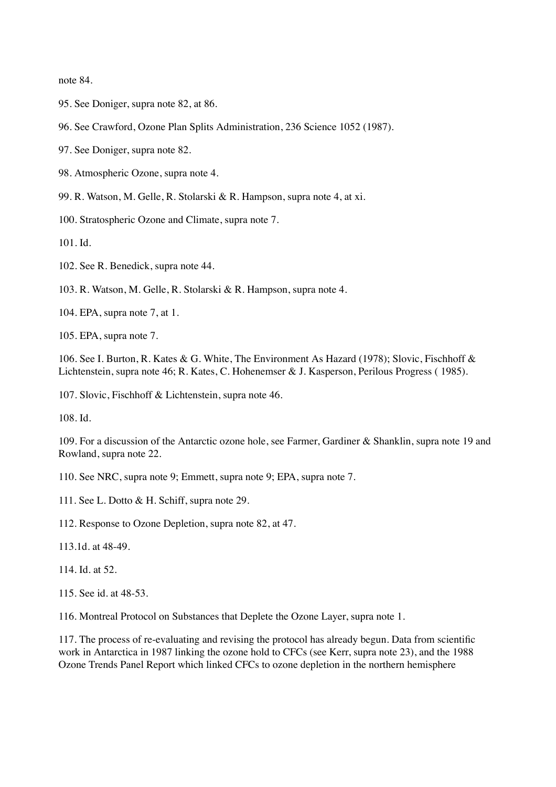note 84.

- 95. See Doniger, supra note 82, at 86.
- 96. See Crawford, Ozone Plan Splits Administration, 236 Science 1052 (1987).

97. See Doniger, supra note 82.

98. Atmospheric Ozone, supra note 4.

99. R. Watson, M. Gelle, R. Stolarski & R. Hampson, supra note 4, at xi.

100. Stratospheric Ozone and Climate, supra note 7.

101. Id.

102. See R. Benedick, supra note 44.

103. R. Watson, M. Gelle, R. Stolarski & R. Hampson, supra note 4.

104. EPA, supra note 7, at 1.

105. EPA, supra note 7.

106. See I. Burton, R. Kates & G. White, The Environment As Hazard (1978); Slovic, Fischhoff & Lichtenstein, supra note 46; R. Kates, C. Hohenemser & J. Kasperson, Perilous Progress ( 1985).

107. Slovic, Fischhoff & Lichtenstein, supra note 46.

108. Id.

109. For a discussion of the Antarctic ozone hole, see Farmer, Gardiner & Shanklin, supra note 19 and Rowland, supra note 22.

110. See NRC, supra note 9; Emmett, supra note 9; EPA, supra note 7.

111. See L. Dotto & H. Schiff, supra note 29.

112. Response to Ozone Depletion, supra note 82, at 47.

113.1d. at 48-49.

114. Id. at 52.

115. See id. at 48-53.

116. Montreal Protocol on Substances that Deplete the Ozone Layer, supra note 1.

117. The process of re-evaluating and revising the protocol has already begun. Data from scientific work in Antarctica in 1987 linking the ozone hold to CFCs (see Kerr, supra note 23), and the 1988 Ozone Trends Panel Report which linked CFCs to ozone depletion in the northern hemisphere